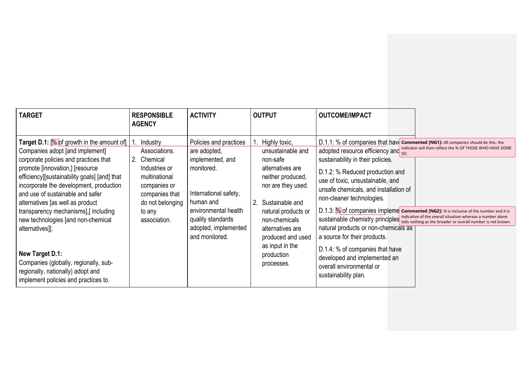| <b>TARGET</b>                                                                                                                                                                                                                                                                                                                                                                                                                                                                                                                                       | <b>RESPONSIBLE</b><br><b>AGENCY</b>                                                                                                                     | <b>ACTIVITY</b>                                                                                                                                                                                       | <b>OUTPUT</b>                                                                                                                                                                                                                                                       | <b>OUTCOME/IMPACT</b>                                                                                                                                                                                                                                                                                                                                                                                                                                                                                                                                                                                                                                                                                                                                   |
|-----------------------------------------------------------------------------------------------------------------------------------------------------------------------------------------------------------------------------------------------------------------------------------------------------------------------------------------------------------------------------------------------------------------------------------------------------------------------------------------------------------------------------------------------------|---------------------------------------------------------------------------------------------------------------------------------------------------------|-------------------------------------------------------------------------------------------------------------------------------------------------------------------------------------------------------|---------------------------------------------------------------------------------------------------------------------------------------------------------------------------------------------------------------------------------------------------------------------|---------------------------------------------------------------------------------------------------------------------------------------------------------------------------------------------------------------------------------------------------------------------------------------------------------------------------------------------------------------------------------------------------------------------------------------------------------------------------------------------------------------------------------------------------------------------------------------------------------------------------------------------------------------------------------------------------------------------------------------------------------|
| <b>Target D.1:</b> [ $\%$ of growth in the amount of]   1.<br>Companies adopt [and implement]<br>corporate policies and practices that<br>2.<br>promote [innovation,] [resource<br>efficiency][sustainability goals] [and] that<br>incorporate the development, production<br>and use of sustainable and safer<br>alternatives [as well as product<br>transparency mechanisms],[including<br>new technologies [and non-chemical<br>alternatives]].<br>New Target D.1:<br>Companies (globally, regionally, sub-<br>regionally, nationally) adopt and | Industry<br>Associations.<br>Chemical<br>Industries or<br>multinational<br>companies or<br>companies that<br>do not belonging<br>to any<br>association. | Policies and practices<br>are adopted,<br>implemented, and<br>monitored.<br>International safety,<br>human and<br>environmental health<br>quality standards<br>adopted, implemented<br>and monitored. | Highly toxic,<br>unsustainable and<br>non-safe<br>alternatives are<br>neither produced,<br>nor are they used.<br>2. Sustainable and<br>natural products or<br>non-chemicals<br>alternatives are<br>produced and used<br>as input in the<br>production<br>processes. | D.1.1: % of companies that have commented [NG1]: All companies should do this; the<br>adopted resource efficiency and indicator will then reflect the % OF THOSE WHO HAVE DONE<br>sustainability in their policies.<br>D.1.2: % Reduced production and<br>use of toxic, unsustainable, and<br>unsafe chemicals, and installation of<br>non-cleaner technologies.<br>D.1.3: % of companies impleme commented [NG2]: % is inclusive of the number and it is<br>sustainable chemistry principles indicative of the overall situation whereas a number alone<br>natural products or non-chemicals as<br>a source for their products.<br>D.1.4: % of companies that have<br>developed and implemented an<br>overall environmental or<br>sustainability plan. |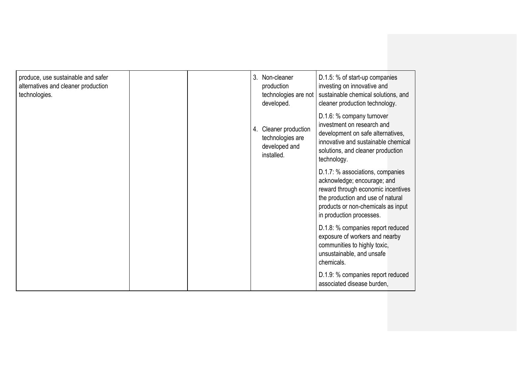| produce, use sustainable and safer<br>alternatives and cleaner production<br>technologies. | 3. Non-cleaner<br>production<br>technologies are not<br>developed.       | D.1.5: % of start-up companies<br>investing on innovative and<br>sustainable chemical solutions, and<br>cleaner production technology.                                                                       |
|--------------------------------------------------------------------------------------------|--------------------------------------------------------------------------|--------------------------------------------------------------------------------------------------------------------------------------------------------------------------------------------------------------|
|                                                                                            | 4. Cleaner production<br>technologies are<br>developed and<br>installed. | D.1.6: % company turnover<br>investment on research and<br>development on safe alternatives,<br>innovative and sustainable chemical<br>solutions, and cleaner production<br>technology.                      |
|                                                                                            |                                                                          | D.1.7: % associations, companies<br>acknowledge; encourage; and<br>reward through economic incentives<br>the production and use of natural<br>products or non-chemicals as input<br>in production processes. |
|                                                                                            |                                                                          | D.1.8: % companies report reduced<br>exposure of workers and nearby<br>communities to highly toxic,<br>unsustainable, and unsafe<br>chemicals.                                                               |
|                                                                                            |                                                                          | D.1.9: % companies report reduced<br>associated disease burden,                                                                                                                                              |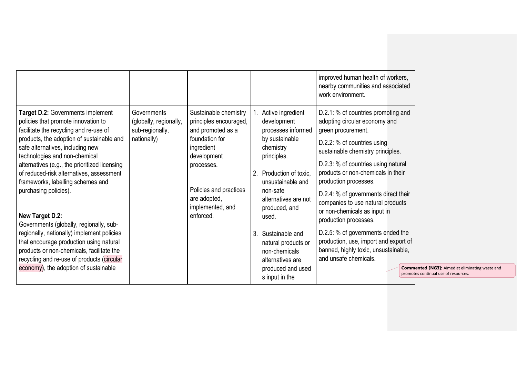|                                                                                                                                                                                                                                                                                                                                                                                                        |                                                                         |                                                                                                                                                                                                 |                                                                                                                                                                                                             | improved human health of workers,<br>nearby communities and associated<br>work environment.                                                                                                                                                                                                                                                                                       |
|--------------------------------------------------------------------------------------------------------------------------------------------------------------------------------------------------------------------------------------------------------------------------------------------------------------------------------------------------------------------------------------------------------|-------------------------------------------------------------------------|-------------------------------------------------------------------------------------------------------------------------------------------------------------------------------------------------|-------------------------------------------------------------------------------------------------------------------------------------------------------------------------------------------------------------|-----------------------------------------------------------------------------------------------------------------------------------------------------------------------------------------------------------------------------------------------------------------------------------------------------------------------------------------------------------------------------------|
| <b>Target D.2: Governments implement</b><br>policies that promote innovation to<br>facilitate the recycling and re-use of<br>products, the adoption of sustainable and<br>safe alternatives, including new<br>technologies and non-chemical<br>alternatives (e.g., the prioritized licensing<br>of reduced-risk alternatives, assessment<br>frameworks, labelling schemes and<br>purchasing policies). | Governments<br>(globally, regionally,<br>sub-regionally,<br>nationally) | Sustainable chemistry<br>principles encouraged,<br>and promoted as a<br>foundation for<br>ingredient<br>development<br>processes.<br>Policies and practices<br>are adopted,<br>implemented, and | Active ingredient<br>development<br>processes informed<br>by sustainable<br>chemistry<br>principles.<br>Production of toxic,<br>2<br>unsustainable and<br>non-safe<br>alternatives are not<br>produced, and | D.2.1: % of countries promoting and<br>adopting circular economy and<br>green procurement.<br>D.2.2: % of countries using<br>sustainable chemistry principles.<br>D.2.3: % of countries using natural<br>products or non-chemicals in their<br>production processes.<br>D.2.4: % of governments direct their<br>companies to use natural products<br>or non-chemicals as input in |
| New Target D.2:<br>Governments (globally, regionally, sub-<br>regionally, nationally) implement policies<br>that encourage production using natural<br>products or non-chemicals, facilitate the<br>recycling and re-use of products (circular<br>economy), the adoption of sustainable                                                                                                                |                                                                         | enforced.                                                                                                                                                                                       | used.<br>Sustainable and<br>3.<br>natural products or<br>non-chemicals<br>alternatives are<br>produced and used<br>s input in the                                                                           | production processes.<br>D.2.5: % of governments ended the<br>production, use, import and export of<br>banned, highly toxic, unsustainable,<br>and unsafe chemicals.<br><b>Commented [NG3]:</b> Aimed at eliminating waste and<br>promotes continual use of resources.                                                                                                            |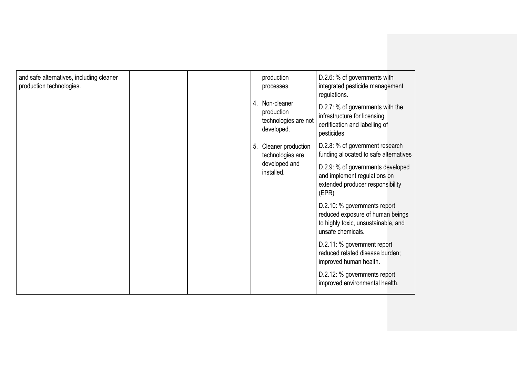| and safe alternatives, including cleaner<br>production technologies. |  |  |                             | production<br>processes.                                                                                       | D.2.6: % of governments with<br>integrated pesticide management<br>regulations.                                              |
|----------------------------------------------------------------------|--|--|-----------------------------|----------------------------------------------------------------------------------------------------------------|------------------------------------------------------------------------------------------------------------------------------|
|                                                                      |  |  |                             | 4. Non-cleaner<br>production<br>technologies are not<br>developed.                                             | D.2.7: % of governments with the<br>infrastructure for licensing,<br>certification and labelling of<br>pesticides            |
|                                                                      |  |  | 5.                          | Cleaner production<br>technologies are                                                                         | D.2.8: % of government research<br>funding allocated to safe alternatives                                                    |
|                                                                      |  |  | developed and<br>installed. | D.2.9: % of governments developed<br>and implement regulations on<br>extended producer responsibility<br>(EPR) |                                                                                                                              |
|                                                                      |  |  |                             |                                                                                                                | D.2.10: % governments report<br>reduced exposure of human beings<br>to highly toxic, unsustainable, and<br>unsafe chemicals. |
|                                                                      |  |  |                             |                                                                                                                | D.2.11: % government report<br>reduced related disease burden;<br>improved human health.                                     |
|                                                                      |  |  |                             |                                                                                                                | D.2.12: % governments report<br>improved environmental health.                                                               |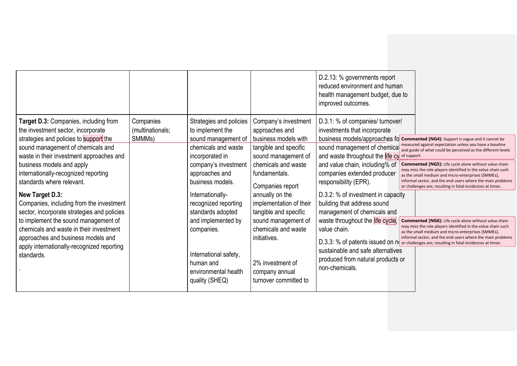|                                                                                                                                                                                                                                     |                                         |                                                                                                              |                                                                                                                                   | D.2.13: % governments report<br>reduced environment and human<br>health management budget, due to<br>improved outcomes.                                                                 |                                                                                                                                                                                                                                                                                                                |
|-------------------------------------------------------------------------------------------------------------------------------------------------------------------------------------------------------------------------------------|-----------------------------------------|--------------------------------------------------------------------------------------------------------------|-----------------------------------------------------------------------------------------------------------------------------------|-----------------------------------------------------------------------------------------------------------------------------------------------------------------------------------------|----------------------------------------------------------------------------------------------------------------------------------------------------------------------------------------------------------------------------------------------------------------------------------------------------------------|
| Target D.3: Companies, including from<br>the investment sector, incorporate<br>strategies and policies to support the<br>sound management of chemicals and<br>waste in their investment approaches and                              | Companies<br>(multinationals;<br>SMMMs) | Strategies and policies<br>to implement the<br>sound management of<br>chemicals and waste<br>incorporated in | Company's investment<br>approaches and<br>business models with<br>tangible and specific<br>sound management of                    | D.3.1: % of companies/ turnover/<br>investments that incorporate<br>and waste throughout the life cy of support.                                                                        | business models/approaches fo commented [NG4]: Support is vague and it cannot be<br>measured against expectation unless you have a baseline<br>sound management of chemical measured against experience and sound be perceived as the different levels                                                         |
| business models and apply<br>internationally-recognized reporting<br>standards where relevant.                                                                                                                                      |                                         | company's investment<br>approaches and<br>business models.                                                   | chemicals and waste<br>fundamentals.<br>Companies report                                                                          | and value chain, including% of<br>companies extended producer<br>responsibility (EPR).                                                                                                  | <b>Commented [NG5]:</b> Life cycle alone without value chain<br>may miss the role players identified in the value chain such<br>as the small medium and micro-enterprises (SMMEs),<br>informal sector, and the end-users where the main problems<br>or challenges are; resulting in fatal incidences at times. |
| New Target D.3:<br>Companies, including from the investment<br>sector, incorporate strategies and policies<br>to implement the sound management of<br>chemicals and waste in their investment<br>approaches and business models and |                                         | Internationally-<br>recognized reporting<br>standards adopted<br>and implemented by<br>companies.            | annually on the<br>implementation of their<br>tangible and specific<br>sound management of<br>chemicals and waste<br>initiatives. | D.3.2: % of investment in capacity<br>building that address sound<br>management of chemicals and<br>waste throughout the life cycle,<br>value chain.                                    | <b>Commented [NG6]:</b> Life cycle alone without value chain<br>may miss the role players identified in the value chain such<br>as the small medium and micro-enterprises (SMMEs),<br>informal sector, and the end-users where the main problems                                                               |
| apply internationally-recognized reporting<br>standards.                                                                                                                                                                            |                                         | International safety,<br>human and<br>environmental health<br>quality (SHEQ)                                 | 2% investment of<br>company annual<br>turnover committed to                                                                       | D.3.3: % of patents issued on n( or challenges are; resulting in fatal incidences at times.<br>sustainable and safe alternatives<br>produced from natural products or<br>non-chemicals. |                                                                                                                                                                                                                                                                                                                |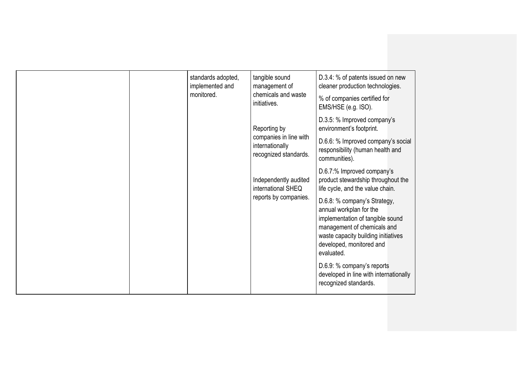|  | standards adopted,<br>implemented and             | tangible sound<br>management of                                                    | D.3.4: % of patents issued on new<br>cleaner production technologies.                                                                                                                                       |
|--|---------------------------------------------------|------------------------------------------------------------------------------------|-------------------------------------------------------------------------------------------------------------------------------------------------------------------------------------------------------------|
|  | chemicals and waste<br>monitored.<br>initiatives. | % of companies certified for<br>EMS/HSE (e.g. ISO).                                |                                                                                                                                                                                                             |
|  |                                                   | Reporting by<br>companies in line with<br>internationally<br>recognized standards. | D.3.5: % Improved company's<br>environment's footprint.                                                                                                                                                     |
|  |                                                   |                                                                                    | D.6.6: % Improved company's social<br>responsibility (human health and<br>communities).                                                                                                                     |
|  |                                                   | Independently audited<br>international SHEQ                                        | D.6.7:% Improved company's<br>product stewardship throughout the<br>life cycle, and the value chain.                                                                                                        |
|  |                                                   | reports by companies.                                                              | D.6.8: % company's Strategy,<br>annual workplan for the<br>implementation of tangible sound<br>management of chemicals and<br>waste capacity building initiatives<br>developed, monitored and<br>evaluated. |
|  |                                                   |                                                                                    | D.6.9: % company's reports<br>developed in line with internationally<br>recognized standards.                                                                                                               |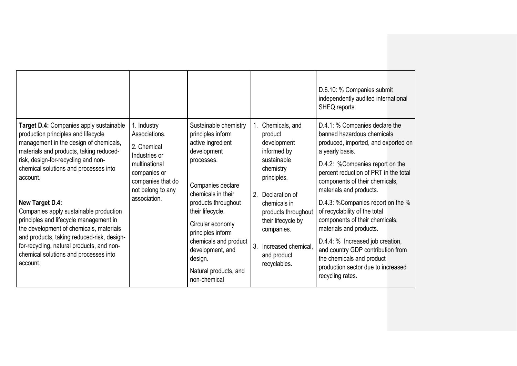|                                                                                                                                                                                                                                                                                                                                                                                                                                                                                                                                                                          |                                                                                                                                                         |                                                                                                                                                                                                                                                                                                                              |                                                                                                                                                                                                                                                                | D.6.10: % Companies submit<br>independently audited international<br>SHEQ reports.                                                                                                                                                                                                                                                                                                                                                                                                                                                                                  |
|--------------------------------------------------------------------------------------------------------------------------------------------------------------------------------------------------------------------------------------------------------------------------------------------------------------------------------------------------------------------------------------------------------------------------------------------------------------------------------------------------------------------------------------------------------------------------|---------------------------------------------------------------------------------------------------------------------------------------------------------|------------------------------------------------------------------------------------------------------------------------------------------------------------------------------------------------------------------------------------------------------------------------------------------------------------------------------|----------------------------------------------------------------------------------------------------------------------------------------------------------------------------------------------------------------------------------------------------------------|---------------------------------------------------------------------------------------------------------------------------------------------------------------------------------------------------------------------------------------------------------------------------------------------------------------------------------------------------------------------------------------------------------------------------------------------------------------------------------------------------------------------------------------------------------------------|
| Target D.4: Companies apply sustainable<br>production principles and lifecycle<br>management in the design of chemicals,<br>materials and products, taking reduced-<br>risk, design-for-recycling and non-<br>chemical solutions and processes into<br>account.<br><b>New Target D.4:</b><br>Companies apply sustainable production<br>principles and lifecycle management in<br>the development of chemicals, materials<br>and products, taking reduced-risk, design-<br>for-recycling, natural products, and non-<br>chemical solutions and processes into<br>account. | 1. Industry<br>Associations.<br>2. Chemical<br>Industries or<br>multinational<br>companies or<br>companies that do<br>not belong to any<br>association. | Sustainable chemistry<br>principles inform<br>active ingredient<br>development<br>processes.<br>Companies declare<br>chemicals in their<br>products throughout<br>their lifecycle.<br>Circular economy<br>principles inform<br>chemicals and product<br>development, and<br>design.<br>Natural products, and<br>non-chemical | 1. Chemicals, and<br>product<br>development<br>informed by<br>sustainable<br>chemistry<br>principles.<br>2. Declaration of<br>chemicals in<br>products throughout<br>their lifecycle by<br>companies.<br>3. Increased chemical,<br>and product<br>recyclables. | D.4.1: % Companies declare the<br>banned hazardous chemicals<br>produced, imported, and exported on<br>a yearly basis.<br>D.4.2: %Companies report on the<br>percent reduction of PRT in the total<br>components of their chemicals,<br>materials and products.<br>D.4.3: % Companies report on the %<br>of recyclability of the total<br>components of their chemicals,<br>materials and products.<br>D.4.4: % Increased job creation,<br>and country GDP contribution from<br>the chemicals and product<br>production sector due to increased<br>recycling rates. |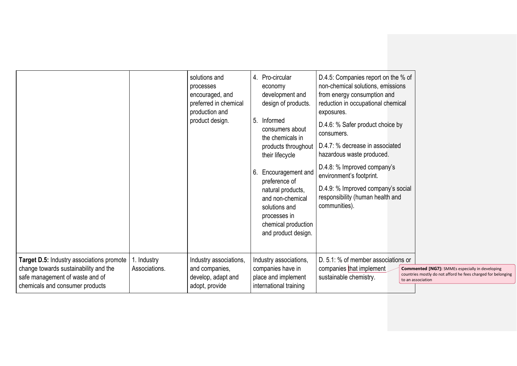|                                                                                                                                                          |                              | solutions and<br>processes<br>encouraged, and<br>preferred in chemical<br>production and<br>product design. | 4. Pro-circular<br>economy<br>development and<br>design of products.<br>5. Informed<br>consumers about<br>the chemicals in<br>products throughout<br>their lifecycle<br>6. Encouragement and<br>preference of<br>natural products,<br>and non-chemical<br>solutions and<br>processes in<br>chemical production<br>and product design. | D.4.5: Companies report on the % of<br>non-chemical solutions, emissions<br>from energy consumption and<br>reduction in occupational chemical<br>exposures.<br>D.4.6: % Safer product choice by<br>consumers.<br>D.4.7: % decrease in associated<br>hazardous waste produced.<br>D.4.8: % Improved company's<br>environment's footprint.<br>D.4.9: % Improved company's social<br>responsibility (human health and<br>communities). |                                                                                                                                             |
|----------------------------------------------------------------------------------------------------------------------------------------------------------|------------------------------|-------------------------------------------------------------------------------------------------------------|---------------------------------------------------------------------------------------------------------------------------------------------------------------------------------------------------------------------------------------------------------------------------------------------------------------------------------------|-------------------------------------------------------------------------------------------------------------------------------------------------------------------------------------------------------------------------------------------------------------------------------------------------------------------------------------------------------------------------------------------------------------------------------------|---------------------------------------------------------------------------------------------------------------------------------------------|
| Target D.5: Industry associations promote<br>change towards sustainability and the<br>safe management of waste and of<br>chemicals and consumer products | 1. Industry<br>Associations. | Industry associations,<br>and companies,<br>develop, adapt and<br>adopt, provide                            | Industry associations,<br>companies have in<br>place and implement<br>international training                                                                                                                                                                                                                                          | D. 5.1: % of member associations or<br>companies that implement<br>sustainable chemistry.                                                                                                                                                                                                                                                                                                                                           | <b>Commented [NG7]:</b> SMMEs especially in developing<br>countries mostly do not afford he fees charged for belonging<br>to an association |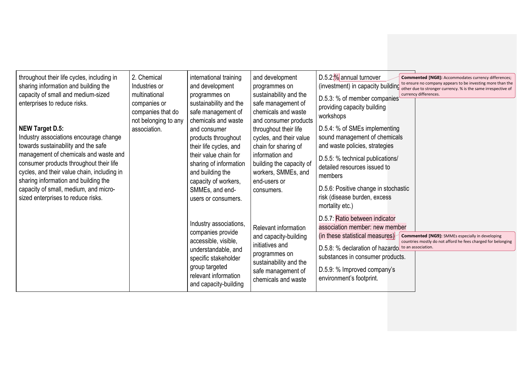| throughout their life cycles, including in<br>sharing information and building the<br>capacity of small and medium-sized<br>enterprises to reduce risks.<br>NEW Target D.5:<br>Industry associations encourage change<br>towards sustainability and the safe<br>management of chemicals and waste and<br>consumer products throughout their life<br>cycles, and their value chain, including in<br>sharing information and building the<br>capacity of small, medium, and micro-<br>sized enterprises to reduce risks. | 2. Chemical<br>Industries or<br>multinational<br>companies or<br>companies that do<br>not belonging to any<br>association. | international training<br>and development<br>programmes on<br>sustainability and the<br>safe management of<br>chemicals and waste<br>and consumer<br>products throughout<br>their life cycles, and<br>their value chain for<br>sharing of information<br>and building the<br>capacity of workers,<br>SMMEs, and end-<br>users or consumers. | and development<br>programmes on<br>sustainability and the<br>safe management of<br>chemicals and waste<br>and consumer products<br>throughout their life<br>cycles, and their value<br>chain for sharing of<br>information and<br>building the capacity of<br>workers, SMMEs, and<br>end-users or<br>consumers. | $D.5.2$ : $%$ annual turnover<br><b>Commented [NG8]: Accommodates currency differences;</b><br>to ensure no company appears to be investing more than the<br>(investment) in capacity building<br>other due to stronger currency. % is the same irrespective of<br>currency differences.<br>D.5.3: % of member companies<br>providing capacity building<br>workshops<br>D.5.4: % of SMEs implementing<br>sound management of chemicals<br>and waste policies, strategies<br>D.5.5: % technical publications/<br>detailed resources issued to<br>members<br>D.5.6: Positive change in stochastic<br>risk (disease burden, excess<br>mortality etc.) |
|------------------------------------------------------------------------------------------------------------------------------------------------------------------------------------------------------------------------------------------------------------------------------------------------------------------------------------------------------------------------------------------------------------------------------------------------------------------------------------------------------------------------|----------------------------------------------------------------------------------------------------------------------------|---------------------------------------------------------------------------------------------------------------------------------------------------------------------------------------------------------------------------------------------------------------------------------------------------------------------------------------------|------------------------------------------------------------------------------------------------------------------------------------------------------------------------------------------------------------------------------------------------------------------------------------------------------------------|----------------------------------------------------------------------------------------------------------------------------------------------------------------------------------------------------------------------------------------------------------------------------------------------------------------------------------------------------------------------------------------------------------------------------------------------------------------------------------------------------------------------------------------------------------------------------------------------------------------------------------------------------|
|                                                                                                                                                                                                                                                                                                                                                                                                                                                                                                                        |                                                                                                                            | Industry associations,<br>companies provide<br>accessible, visible,<br>understandable, and<br>specific stakeholder<br>group targeted<br>relevant information<br>and capacity-building                                                                                                                                                       | Relevant information<br>and capacity-building<br>initiatives and<br>programmes on<br>sustainability and the<br>safe management of<br>chemicals and waste                                                                                                                                                         | D.5.7: Ratio between indicator<br>association member: new member<br>(in these statistical measures)<br><b>Commented [NG9]:</b> SMMEs especially in developing<br>countries mostly do not afford he fees charged for belonging<br>D.5.8: % declaration of hazardo to an association.<br>substances in consumer products.<br>D.5.9: % Improved company's<br>environment's footprint.                                                                                                                                                                                                                                                                 |